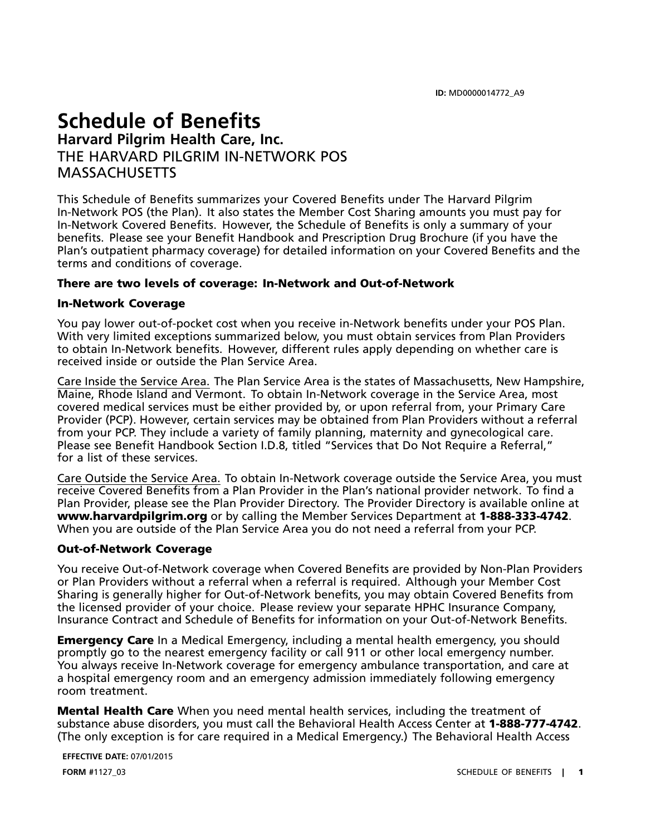# **Schedule of Benefits Harvard Pilgrim Health Care, Inc.** THE HARVARD PILGRIM IN-NETWORK POS MASSACHUSETTS

This Schedule of Benefits summarizes your Covered Benefits under The Harvard Pilgrim In-Network POS (the Plan). It also states the Member Cost Sharing amounts you must pay for In-Network Covered Benefits. However, the Schedule of Benefits is only <sup>a</sup> summary of your benefits. Please see your Benefit Handbook and Prescription Drug Brochure (if you have the Plan's outpatient pharmacy coverage) for detailed information on your Covered Benefits and the terms and conditions of coverage.

## **There are two levels of coverage: In-Network and Out-of-Network**

#### **In-Network Coverage**

You pay lower out-of-pocket cost when you receive in-Network benefits under your POS Plan. With very limited exceptions summarized below, you must obtain services from Plan Providers to obtain In-Network benefits. However, different rules apply depending on whether care is received inside or outside the Plan Service Area.

Care Inside the Service Area. The Plan Service Area is the states of Massachusetts, New Hampshire, Maine, Rhode Island and Vermont. To obtain In-Network coverage in the Service Area, most covered medical services must be either provided by, or upon referral from, your Primary Care Provider (PCP). However, certain services may be obtained from Plan Providers without <sup>a</sup> referral from your PCP. They include <sup>a</sup> variety of family planning, maternity and gynecological care. Please see Benefit Handbook Section I.D.8, titled "Services that Do Not Require <sup>a</sup> Referral," for <sup>a</sup> list of these services.

Care Outside the Service Area. To obtain In-Network coverage outside the Service Area, you must receive Covered Benefits from <sup>a</sup> Plan Provider in the Plan's national provider network. To find <sup>a</sup> Plan Provider, please see the Plan Provider Directory. The Provider Directory is available online at **www.harvardpilgrim.org** or by calling the Member Services Department at **1-888-333-4742**. When you are outside of the Plan Service Area you do not need <sup>a</sup> referral from your PCP.

#### **Out-of-Network Coverage**

You receive Out-of-Network coverage when Covered Benefits are provided by Non-Plan Providers or Plan Providers without <sup>a</sup> referral when <sup>a</sup> referral is required. Although your Member Cost Sharing is generally higher for Out-of-Network benefits, you may obtain Covered Benefits from the licensed provider of your choice. Please review your separate HPHC Insurance Company, Insurance Contract and Schedule of Benefits for information on your Out-of-Network Benefits.

**Emergency Care** In <sup>a</sup> Medical Emergency, including <sup>a</sup> mental health emergency, you should promptly go to the nearest emergency facility or call 911 or other local emergency number. You always receive In-Network coverage for emergency ambulance transportation, and care at <sup>a</sup> hospital emergency room and an emergency admission immediately following emergency room treatment.

**Mental Health Care** When you need mental health services, including the treatment of substance abuse disorders, you must call the Behavioral Health Access Center at **1-888-777-4742**. (The only exception is for care required in <sup>a</sup> Medical Emergency.) The Behavioral Health Access

**EFFECTIVE DATE:** 07/01/2015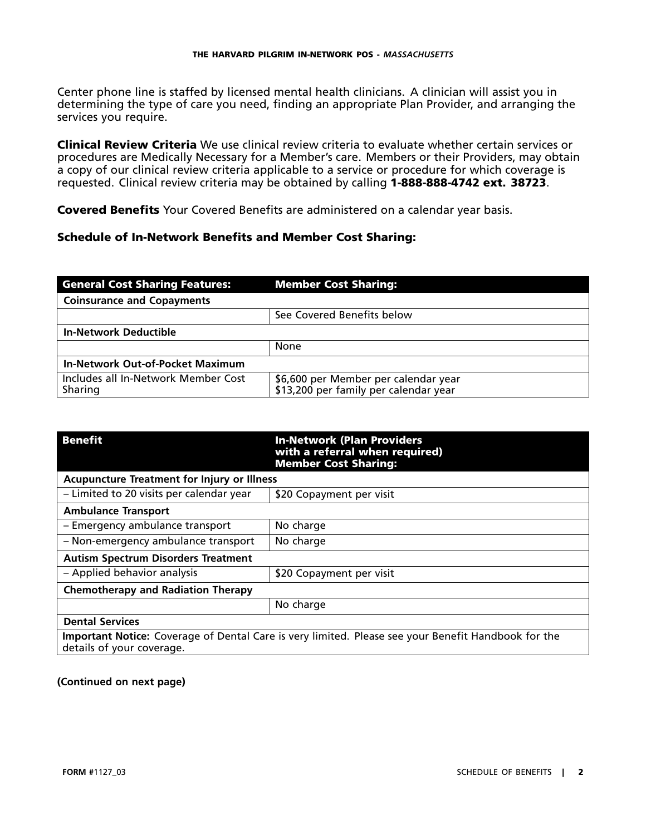Center phone line is staffed by licensed mental health clinicians. A clinician will assist you in determining the type of care you need, finding an appropriate Plan Provider, and arranging the services you require.

**Clinical Review Criteria** We use clinical review criteria to evaluate whether certain services or procedures are Medically Necessary for <sup>a</sup> Member's care. Members or their Providers, may obtain <sup>a</sup> copy of our clinical review criteria applicable to <sup>a</sup> service or procedure for which coverage is requested. Clinical review criteria may be obtained by calling **1-888-888-4742 ext. 38723**.

**Covered Benefits** Your Covered Benefits are administered on <sup>a</sup> calendar year basis.

## **Schedule of In-Network Benefits and Member Cost Sharing:**

| <b>General Cost Sharing Features:</b>          | <b>Member Cost Sharing:</b>                                                   |
|------------------------------------------------|-------------------------------------------------------------------------------|
| <b>Coinsurance and Copayments</b>              |                                                                               |
|                                                | See Covered Benefits below                                                    |
| <b>In-Network Deductible</b>                   |                                                                               |
|                                                | None                                                                          |
| In-Network Out-of-Pocket Maximum               |                                                                               |
| Includes all In-Network Member Cost<br>Sharing | \$6,600 per Member per calendar year<br>\$13,200 per family per calendar year |

| <b>Benefit</b>                                                                                                                   | <b>In-Network (Plan Providers</b><br>with a referral when required)<br><b>Member Cost Sharing:</b> |  |
|----------------------------------------------------------------------------------------------------------------------------------|----------------------------------------------------------------------------------------------------|--|
| <b>Acupuncture Treatment for Injury or Illness</b>                                                                               |                                                                                                    |  |
| - Limited to 20 visits per calendar year                                                                                         | \$20 Copayment per visit                                                                           |  |
| <b>Ambulance Transport</b>                                                                                                       |                                                                                                    |  |
| - Emergency ambulance transport                                                                                                  | No charge                                                                                          |  |
| - Non-emergency ambulance transport                                                                                              | No charge                                                                                          |  |
| <b>Autism Spectrum Disorders Treatment</b>                                                                                       |                                                                                                    |  |
| - Applied behavior analysis                                                                                                      | \$20 Copayment per visit                                                                           |  |
| <b>Chemotherapy and Radiation Therapy</b>                                                                                        |                                                                                                    |  |
|                                                                                                                                  | No charge                                                                                          |  |
| <b>Dental Services</b>                                                                                                           |                                                                                                    |  |
| Important Notice: Coverage of Dental Care is very limited. Please see your Benefit Handbook for the<br>details of your coverage. |                                                                                                    |  |

**(Continued on next page)**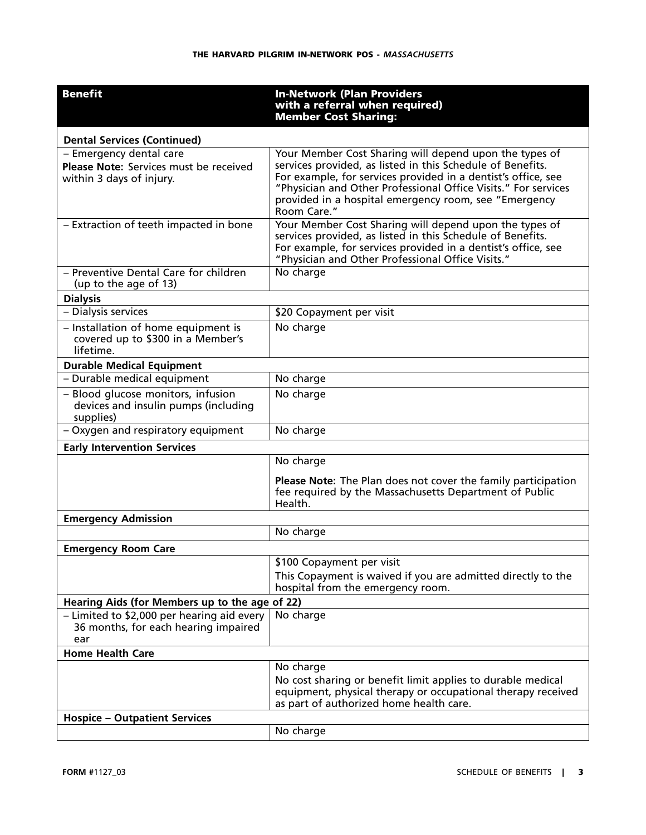| <b>Benefit</b>                                                                                | <b>In-Network (Plan Providers</b><br>with a referral when required)<br><b>Member Cost Sharing:</b>                                                                                                                                                                                                                              |
|-----------------------------------------------------------------------------------------------|---------------------------------------------------------------------------------------------------------------------------------------------------------------------------------------------------------------------------------------------------------------------------------------------------------------------------------|
| <b>Dental Services (Continued)</b>                                                            |                                                                                                                                                                                                                                                                                                                                 |
| - Emergency dental care<br>Please Note: Services must be received<br>within 3 days of injury. | Your Member Cost Sharing will depend upon the types of<br>services provided, as listed in this Schedule of Benefits.<br>For example, for services provided in a dentist's office, see<br>"Physician and Other Professional Office Visits." For services<br>provided in a hospital emergency room, see "Emergency<br>Room Care." |
| - Extraction of teeth impacted in bone                                                        | Your Member Cost Sharing will depend upon the types of<br>services provided, as listed in this Schedule of Benefits.<br>For example, for services provided in a dentist's office, see<br>"Physician and Other Professional Office Visits."                                                                                      |
| - Preventive Dental Care for children<br>(up to the age of 13)                                | No charge                                                                                                                                                                                                                                                                                                                       |
| <b>Dialysis</b>                                                                               |                                                                                                                                                                                                                                                                                                                                 |
| - Dialysis services                                                                           | \$20 Copayment per visit                                                                                                                                                                                                                                                                                                        |
| - Installation of home equipment is<br>covered up to \$300 in a Member's<br>lifetime.         | No charge                                                                                                                                                                                                                                                                                                                       |
| <b>Durable Medical Equipment</b>                                                              |                                                                                                                                                                                                                                                                                                                                 |
| - Durable medical equipment                                                                   | No charge                                                                                                                                                                                                                                                                                                                       |
| - Blood glucose monitors, infusion<br>devices and insulin pumps (including<br>supplies)       | No charge                                                                                                                                                                                                                                                                                                                       |
| - Oxygen and respiratory equipment                                                            | No charge                                                                                                                                                                                                                                                                                                                       |
| <b>Early Intervention Services</b>                                                            |                                                                                                                                                                                                                                                                                                                                 |
|                                                                                               | No charge                                                                                                                                                                                                                                                                                                                       |
|                                                                                               | <b>Please Note:</b> The Plan does not cover the family participation<br>fee required by the Massachusetts Department of Public<br>Health.                                                                                                                                                                                       |
| <b>Emergency Admission</b>                                                                    |                                                                                                                                                                                                                                                                                                                                 |
|                                                                                               | No charge                                                                                                                                                                                                                                                                                                                       |
| <b>Emergency Room Care</b>                                                                    |                                                                                                                                                                                                                                                                                                                                 |
|                                                                                               | \$100 Copayment per visit                                                                                                                                                                                                                                                                                                       |
|                                                                                               | This Copayment is waived if you are admitted directly to the<br>hospital from the emergency room.                                                                                                                                                                                                                               |
| Hearing Aids (for Members up to the age of 22)                                                |                                                                                                                                                                                                                                                                                                                                 |
| - Limited to \$2,000 per hearing aid every<br>36 months, for each hearing impaired<br>ear     | No charge                                                                                                                                                                                                                                                                                                                       |
| <b>Home Health Care</b>                                                                       |                                                                                                                                                                                                                                                                                                                                 |
|                                                                                               | No charge<br>No cost sharing or benefit limit applies to durable medical<br>equipment, physical therapy or occupational therapy received<br>as part of authorized home health care.                                                                                                                                             |
| <b>Hospice - Outpatient Services</b>                                                          |                                                                                                                                                                                                                                                                                                                                 |
|                                                                                               | No charge                                                                                                                                                                                                                                                                                                                       |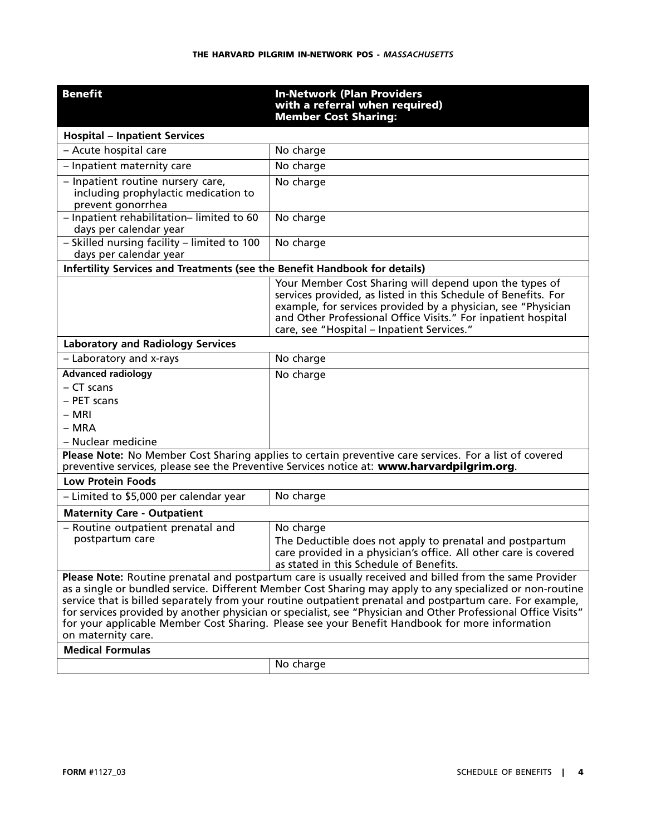| <b>Benefit</b>                                                                                                                                                                                                                                                                                                                                                                                                                                                                                                                                                                                         | <b>In-Network (Plan Providers</b><br>with a referral when required)<br><b>Member Cost Sharing:</b>                                                                                                                                                                                                       |
|--------------------------------------------------------------------------------------------------------------------------------------------------------------------------------------------------------------------------------------------------------------------------------------------------------------------------------------------------------------------------------------------------------------------------------------------------------------------------------------------------------------------------------------------------------------------------------------------------------|----------------------------------------------------------------------------------------------------------------------------------------------------------------------------------------------------------------------------------------------------------------------------------------------------------|
| <b>Hospital - Inpatient Services</b>                                                                                                                                                                                                                                                                                                                                                                                                                                                                                                                                                                   |                                                                                                                                                                                                                                                                                                          |
| - Acute hospital care                                                                                                                                                                                                                                                                                                                                                                                                                                                                                                                                                                                  | No charge                                                                                                                                                                                                                                                                                                |
| - Inpatient maternity care                                                                                                                                                                                                                                                                                                                                                                                                                                                                                                                                                                             | No charge                                                                                                                                                                                                                                                                                                |
| - Inpatient routine nursery care,<br>including prophylactic medication to<br>prevent gonorrhea                                                                                                                                                                                                                                                                                                                                                                                                                                                                                                         | No charge                                                                                                                                                                                                                                                                                                |
| - Inpatient rehabilitation-limited to 60<br>days per calendar year                                                                                                                                                                                                                                                                                                                                                                                                                                                                                                                                     | No charge                                                                                                                                                                                                                                                                                                |
| - Skilled nursing facility - limited to 100<br>days per calendar year                                                                                                                                                                                                                                                                                                                                                                                                                                                                                                                                  | No charge                                                                                                                                                                                                                                                                                                |
| Infertility Services and Treatments (see the Benefit Handbook for details)                                                                                                                                                                                                                                                                                                                                                                                                                                                                                                                             |                                                                                                                                                                                                                                                                                                          |
|                                                                                                                                                                                                                                                                                                                                                                                                                                                                                                                                                                                                        | Your Member Cost Sharing will depend upon the types of<br>services provided, as listed in this Schedule of Benefits. For<br>example, for services provided by a physician, see "Physician<br>and Other Professional Office Visits." For inpatient hospital<br>care, see "Hospital - Inpatient Services." |
| <b>Laboratory and Radiology Services</b>                                                                                                                                                                                                                                                                                                                                                                                                                                                                                                                                                               |                                                                                                                                                                                                                                                                                                          |
| - Laboratory and x-rays                                                                                                                                                                                                                                                                                                                                                                                                                                                                                                                                                                                | No charge                                                                                                                                                                                                                                                                                                |
| <b>Advanced radiology</b>                                                                                                                                                                                                                                                                                                                                                                                                                                                                                                                                                                              | No charge                                                                                                                                                                                                                                                                                                |
| - CT scans                                                                                                                                                                                                                                                                                                                                                                                                                                                                                                                                                                                             |                                                                                                                                                                                                                                                                                                          |
| - PET scans                                                                                                                                                                                                                                                                                                                                                                                                                                                                                                                                                                                            |                                                                                                                                                                                                                                                                                                          |
| – MRI                                                                                                                                                                                                                                                                                                                                                                                                                                                                                                                                                                                                  |                                                                                                                                                                                                                                                                                                          |
| $- MRA$                                                                                                                                                                                                                                                                                                                                                                                                                                                                                                                                                                                                |                                                                                                                                                                                                                                                                                                          |
| - Nuclear medicine                                                                                                                                                                                                                                                                                                                                                                                                                                                                                                                                                                                     | Please Note: No Member Cost Sharing applies to certain preventive care services. For a list of covered                                                                                                                                                                                                   |
|                                                                                                                                                                                                                                                                                                                                                                                                                                                                                                                                                                                                        | preventive services, please see the Preventive Services notice at: www.harvardpilgrim.org.                                                                                                                                                                                                               |
| <b>Low Protein Foods</b>                                                                                                                                                                                                                                                                                                                                                                                                                                                                                                                                                                               |                                                                                                                                                                                                                                                                                                          |
| - Limited to \$5,000 per calendar year                                                                                                                                                                                                                                                                                                                                                                                                                                                                                                                                                                 | No charge                                                                                                                                                                                                                                                                                                |
| <b>Maternity Care - Outpatient</b>                                                                                                                                                                                                                                                                                                                                                                                                                                                                                                                                                                     |                                                                                                                                                                                                                                                                                                          |
| - Routine outpatient prenatal and                                                                                                                                                                                                                                                                                                                                                                                                                                                                                                                                                                      | No charge                                                                                                                                                                                                                                                                                                |
| postpartum care                                                                                                                                                                                                                                                                                                                                                                                                                                                                                                                                                                                        | The Deductible does not apply to prenatal and postpartum<br>care provided in a physician's office. All other care is covered<br>as stated in this Schedule of Benefits.                                                                                                                                  |
| Please Note: Routine prenatal and postpartum care is usually received and billed from the same Provider<br>as a single or bundled service. Different Member Cost Sharing may apply to any specialized or non-routine<br>service that is billed separately from your routine outpatient prenatal and postpartum care. For example,<br>for services provided by another physician or specialist, see "Physician and Other Professional Office Visits"<br>for your applicable Member Cost Sharing. Please see your Benefit Handbook for more information<br>on maternity care.<br><b>Medical Formulas</b> |                                                                                                                                                                                                                                                                                                          |
|                                                                                                                                                                                                                                                                                                                                                                                                                                                                                                                                                                                                        | No charge                                                                                                                                                                                                                                                                                                |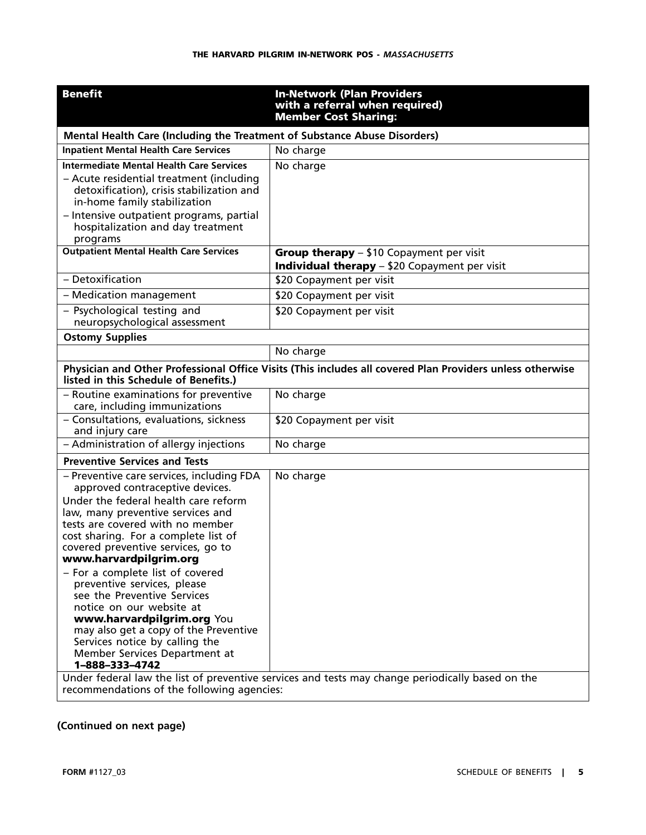| <b>Benefit</b>                                                                                                                                                                                                                                                                                                                                                                                                                                                                                                                                                                                  | <b>In-Network (Plan Providers</b><br>with a referral when required)<br><b>Member Cost Sharing:</b> |  |
|-------------------------------------------------------------------------------------------------------------------------------------------------------------------------------------------------------------------------------------------------------------------------------------------------------------------------------------------------------------------------------------------------------------------------------------------------------------------------------------------------------------------------------------------------------------------------------------------------|----------------------------------------------------------------------------------------------------|--|
| Mental Health Care (Including the Treatment of Substance Abuse Disorders)                                                                                                                                                                                                                                                                                                                                                                                                                                                                                                                       |                                                                                                    |  |
| <b>Inpatient Mental Health Care Services</b>                                                                                                                                                                                                                                                                                                                                                                                                                                                                                                                                                    | No charge                                                                                          |  |
| <b>Intermediate Mental Health Care Services</b><br>- Acute residential treatment (including<br>detoxification), crisis stabilization and<br>in-home family stabilization<br>- Intensive outpatient programs, partial<br>hospitalization and day treatment                                                                                                                                                                                                                                                                                                                                       | No charge                                                                                          |  |
| programs                                                                                                                                                                                                                                                                                                                                                                                                                                                                                                                                                                                        |                                                                                                    |  |
| <b>Outpatient Mental Health Care Services</b>                                                                                                                                                                                                                                                                                                                                                                                                                                                                                                                                                   | Group therapy - \$10 Copayment per visit<br><b>Individual therapy</b> - \$20 Copayment per visit   |  |
| - Detoxification                                                                                                                                                                                                                                                                                                                                                                                                                                                                                                                                                                                | \$20 Copayment per visit                                                                           |  |
| - Medication management                                                                                                                                                                                                                                                                                                                                                                                                                                                                                                                                                                         | \$20 Copayment per visit                                                                           |  |
| - Psychological testing and<br>neuropsychological assessment                                                                                                                                                                                                                                                                                                                                                                                                                                                                                                                                    | \$20 Copayment per visit                                                                           |  |
| <b>Ostomy Supplies</b>                                                                                                                                                                                                                                                                                                                                                                                                                                                                                                                                                                          |                                                                                                    |  |
|                                                                                                                                                                                                                                                                                                                                                                                                                                                                                                                                                                                                 | No charge                                                                                          |  |
| Physician and Other Professional Office Visits (This includes all covered Plan Providers unless otherwise<br>listed in this Schedule of Benefits.)                                                                                                                                                                                                                                                                                                                                                                                                                                              |                                                                                                    |  |
| - Routine examinations for preventive<br>care, including immunizations                                                                                                                                                                                                                                                                                                                                                                                                                                                                                                                          | No charge                                                                                          |  |
| - Consultations, evaluations, sickness<br>and injury care                                                                                                                                                                                                                                                                                                                                                                                                                                                                                                                                       | \$20 Copayment per visit                                                                           |  |
| - Administration of allergy injections                                                                                                                                                                                                                                                                                                                                                                                                                                                                                                                                                          | No charge                                                                                          |  |
| <b>Preventive Services and Tests</b>                                                                                                                                                                                                                                                                                                                                                                                                                                                                                                                                                            |                                                                                                    |  |
| - Preventive care services, including FDA<br>approved contraceptive devices.<br>Under the federal health care reform<br>law, many preventive services and<br>tests are covered with no member<br>cost sharing. For a complete list of<br>covered preventive services, go to<br>www.harvardpilgrim.org<br>- For a complete list of covered<br>preventive services, please<br>see the Preventive Services<br>notice on our website at<br>www.harvardpilgrim.org You<br>may also get a copy of the Preventive<br>Services notice by calling the<br>Member Services Department at<br>1-888-333-4742 | No charge                                                                                          |  |
| Under federal law the list of preventive services and tests may change periodically based on the<br>recommendations of the following agencies:                                                                                                                                                                                                                                                                                                                                                                                                                                                  |                                                                                                    |  |

## **(Continued on next page)**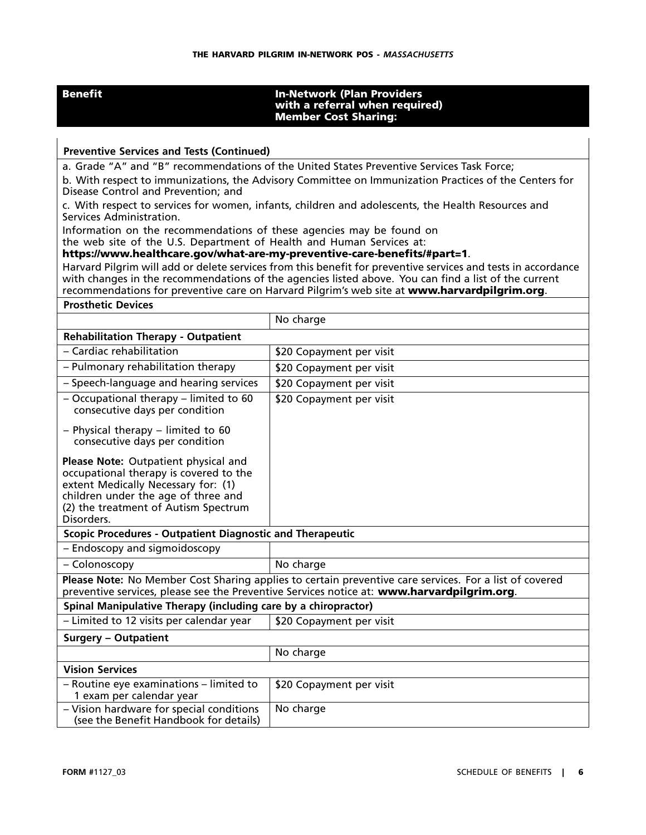| <b>Benefit</b>                                                                                                                                                                                                     | <b>In-Network (Plan Providers</b><br>with a referral when required)<br><b>Member Cost Sharing:</b>            |  |
|--------------------------------------------------------------------------------------------------------------------------------------------------------------------------------------------------------------------|---------------------------------------------------------------------------------------------------------------|--|
|                                                                                                                                                                                                                    |                                                                                                               |  |
| <b>Preventive Services and Tests (Continued)</b>                                                                                                                                                                   |                                                                                                               |  |
|                                                                                                                                                                                                                    | a. Grade "A" and "B" recommendations of the United States Preventive Services Task Force;                     |  |
| b. With respect to immunizations, the Advisory Committee on Immunization Practices of the Centers for<br>Disease Control and Prevention; and                                                                       |                                                                                                               |  |
| c. With respect to services for women, infants, children and adolescents, the Health Resources and<br>Services Administration.                                                                                     |                                                                                                               |  |
| Information on the recommendations of these agencies may be found on                                                                                                                                               |                                                                                                               |  |
| the web site of the U.S. Department of Health and Human Services at:<br>https://www.healthcare.gov/what-are-my-preventive-care-benefits/#part=1.                                                                   |                                                                                                               |  |
|                                                                                                                                                                                                                    | Harvard Pilgrim will add or delete services from this benefit for preventive services and tests in accordance |  |
|                                                                                                                                                                                                                    | with changes in the recommendations of the agencies listed above. You can find a list of the current          |  |
|                                                                                                                                                                                                                    | recommendations for preventive care on Harvard Pilgrim's web site at www.harvardpilgrim.org.                  |  |
| <b>Prosthetic Devices</b>                                                                                                                                                                                          |                                                                                                               |  |
|                                                                                                                                                                                                                    | No charge                                                                                                     |  |
| <b>Rehabilitation Therapy - Outpatient</b>                                                                                                                                                                         |                                                                                                               |  |
| - Cardiac rehabilitation                                                                                                                                                                                           | \$20 Copayment per visit                                                                                      |  |
| - Pulmonary rehabilitation therapy                                                                                                                                                                                 | \$20 Copayment per visit                                                                                      |  |
| - Speech-language and hearing services                                                                                                                                                                             | \$20 Copayment per visit                                                                                      |  |
| - Occupational therapy - limited to 60<br>consecutive days per condition                                                                                                                                           | \$20 Copayment per visit                                                                                      |  |
| - Physical therapy - limited to 60<br>consecutive days per condition                                                                                                                                               |                                                                                                               |  |
| Please Note: Outpatient physical and<br>occupational therapy is covered to the<br>extent Medically Necessary for: (1)<br>children under the age of three and<br>(2) the treatment of Autism Spectrum<br>Disorders. |                                                                                                               |  |
| <b>Scopic Procedures - Outpatient Diagnostic and Therapeutic</b>                                                                                                                                                   |                                                                                                               |  |
| - Endoscopy and sigmoidoscopy                                                                                                                                                                                      |                                                                                                               |  |
| – Colonoscopy                                                                                                                                                                                                      | No charge                                                                                                     |  |
| Please Note: No Member Cost Sharing applies to certain preventive care services. For a list of covered<br>preventive services, please see the Preventive Services notice at: www.harvardpilgrim.org.               |                                                                                                               |  |
| Spinal Manipulative Therapy (including care by a chiropractor)                                                                                                                                                     |                                                                                                               |  |
| - Limited to 12 visits per calendar year                                                                                                                                                                           | \$20 Copayment per visit                                                                                      |  |
| <b>Surgery - Outpatient</b>                                                                                                                                                                                        |                                                                                                               |  |
|                                                                                                                                                                                                                    | No charge                                                                                                     |  |
| <b>Vision Services</b>                                                                                                                                                                                             |                                                                                                               |  |
| - Routine eye examinations - limited to<br>1 exam per calendar year                                                                                                                                                | \$20 Copayment per visit                                                                                      |  |
| - Vision hardware for special conditions<br>(see the Benefit Handbook for details)                                                                                                                                 | No charge                                                                                                     |  |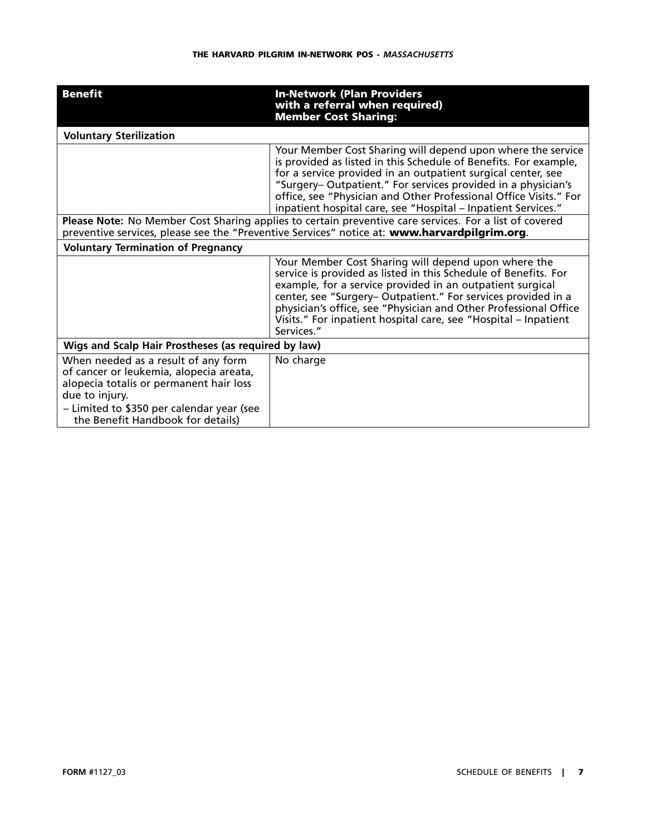| <b>Benefit</b>                                                                                                                                                                                                                | <b>In-Network (Plan Providers</b><br>with a referral when required)<br><b>Member Cost Sharing:</b>                                                                                                                                                                                                                                                                                                       |  |
|-------------------------------------------------------------------------------------------------------------------------------------------------------------------------------------------------------------------------------|----------------------------------------------------------------------------------------------------------------------------------------------------------------------------------------------------------------------------------------------------------------------------------------------------------------------------------------------------------------------------------------------------------|--|
| <b>Voluntary Sterilization</b>                                                                                                                                                                                                |                                                                                                                                                                                                                                                                                                                                                                                                          |  |
|                                                                                                                                                                                                                               | Your Member Cost Sharing will depend upon where the service<br>is provided as listed in this Schedule of Benefits. For example,<br>for a service provided in an outpatient surgical center, see<br>"Surgery- Outpatient." For services provided in a physician's<br>office, see "Physician and Other Professional Office Visits." For<br>inpatient hospital care, see "Hospital - Inpatient Services."   |  |
| Please Note: No Member Cost Sharing applies to certain preventive care services. For a list of covered                                                                                                                        |                                                                                                                                                                                                                                                                                                                                                                                                          |  |
| preventive services, please see the "Preventive Services" notice at: www.harvardpilgrim.org.                                                                                                                                  |                                                                                                                                                                                                                                                                                                                                                                                                          |  |
| <b>Voluntary Termination of Pregnancy</b>                                                                                                                                                                                     |                                                                                                                                                                                                                                                                                                                                                                                                          |  |
|                                                                                                                                                                                                                               | Your Member Cost Sharing will depend upon where the<br>service is provided as listed in this Schedule of Benefits. For<br>example, for a service provided in an outpatient surgical<br>center, see "Surgery-Outpatient." For services provided in a<br>physician's office, see "Physician and Other Professional Office<br>Visits." For inpatient hospital care, see "Hospital – Inpatient<br>Services." |  |
| Wigs and Scalp Hair Prostheses (as required by law)                                                                                                                                                                           |                                                                                                                                                                                                                                                                                                                                                                                                          |  |
| When needed as a result of any form<br>of cancer or leukemia, alopecia areata,<br>alopecia totalis or permanent hair loss<br>due to injury.<br>- Limited to \$350 per calendar year (see<br>the Benefit Handbook for details) | No charge                                                                                                                                                                                                                                                                                                                                                                                                |  |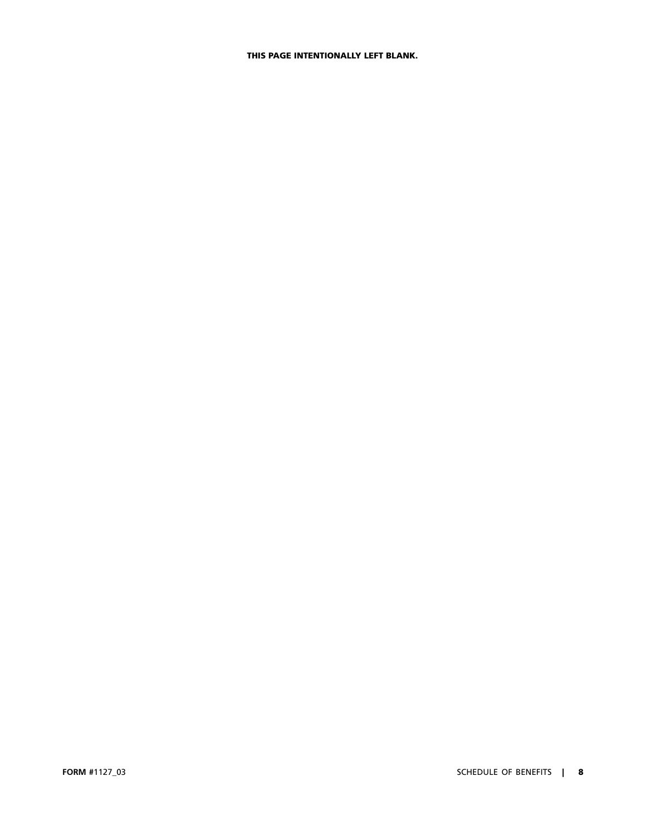**THIS PAGE INTENTIONALLY LEFT BLANK.**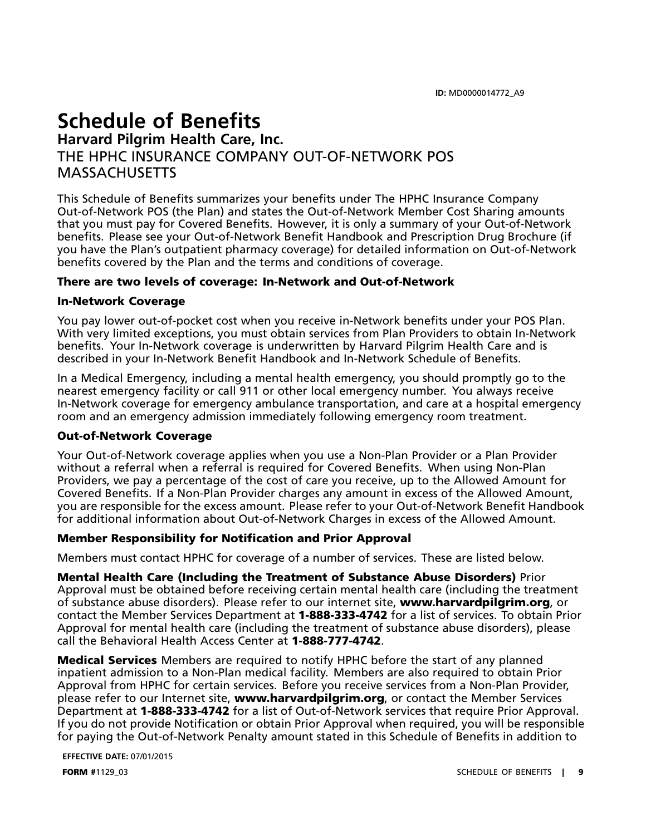# **Schedule of Benefits Harvard Pilgrim Health Care, Inc.** THE HPHC INSURANCE COMPANY OUT-OF-NETWORK POS MASSACHUSETTS

This Schedule of Benefits summarizes your benefits under The HPHC Insurance Company Out-of-Network POS (the Plan) and states the Out-of-Network Member Cost Sharing amounts that you must pay for Covered Benefits. However, it is only <sup>a</sup> summary of your Out-of-Network benefits. Please see your Out-of-Network Benefit Handbook and Prescription Drug Brochure (if you have the Plan's outpatient pharmacy coverage) for detailed information on Out-of-Network benefits covered by the Plan and the terms and conditions of coverage.

## **There are two levels of coverage: In-Network and Out-of-Network**

#### **In-Network Coverage**

You pay lower out-of-pocket cost when you receive in-Network benefits under your POS Plan. With very limited exceptions, you must obtain services from Plan Providers to obtain In-Network benefits. Your In-Network coverage is underwritten by Harvard Pilgrim Health Care and is described in your In-Network Benefit Handbook and In-Network Schedule of Benefits.

In <sup>a</sup> Medical Emergency, including <sup>a</sup> mental health emergency, you should promptly go to the nearest emergency facility or call 911 or other local emergency number. You always receive In-Network coverage for emergency ambulance transportation, and care at <sup>a</sup> hospital emergency room and an emergency admission immediately following emergency room treatment.

#### **Out-of-Network Coverage**

Your Out-of-Network coverage applies when you use <sup>a</sup> Non-Plan Provider or <sup>a</sup> Plan Provider without <sup>a</sup> referral when <sup>a</sup> referral is required for Covered Benefits. When using Non-Plan Providers, we pay <sup>a</sup> percentage of the cost of care you receive, up to the Allowed Amount for Covered Benefits. If <sup>a</sup> Non-Plan Provider charges any amount in excess of the Allowed Amount, you are responsible for the excess amount. Please refer to your Out-of-Network Benefit Handbook for additional information about Out-of-Network Charges in excess of the Allowed Amount.

#### **Member Responsibility for Notification and Prior Approval**

Members must contact HPHC for coverage of <sup>a</sup> number of services. These are listed below.

**Mental Health Care (Including the Treatment of Substance Abuse Disorders)** Prior Approval must be obtained before receiving certain mental health care (including the treatment of substance abuse disorders). Please refer to our internet site, **www.harvardpilgrim.org**, or contact the Member Services Department at **1-888-333-4742** for <sup>a</sup> list of services. To obtain Prior Approval for mental health care (including the treatment of substance abuse disorders), please call the Behavioral Health Access Center at **1-888-777-4742**.

**Medical Services** Members are required to notify HPHC before the start of any planned inpatient admission to <sup>a</sup> Non-Plan medical facility. Members are also required to obtain Prior Approval from HPHC for certain services. Before you receive services from <sup>a</sup> Non-Plan Provider, please refer to our Internet site, **www.harvardpilgrim.org**, or contact the Member Services Department at **1-888-333-4742** for <sup>a</sup> list of Out-of-Network services that require Prior Approval. If you do not provide Notification or obtain Prior Approval when required, you will be responsible for paying the Out-of-Network Penalty amount stated in this Schedule of Benefits in addition to

**EFFECTIVE DATE:** 07/01/2015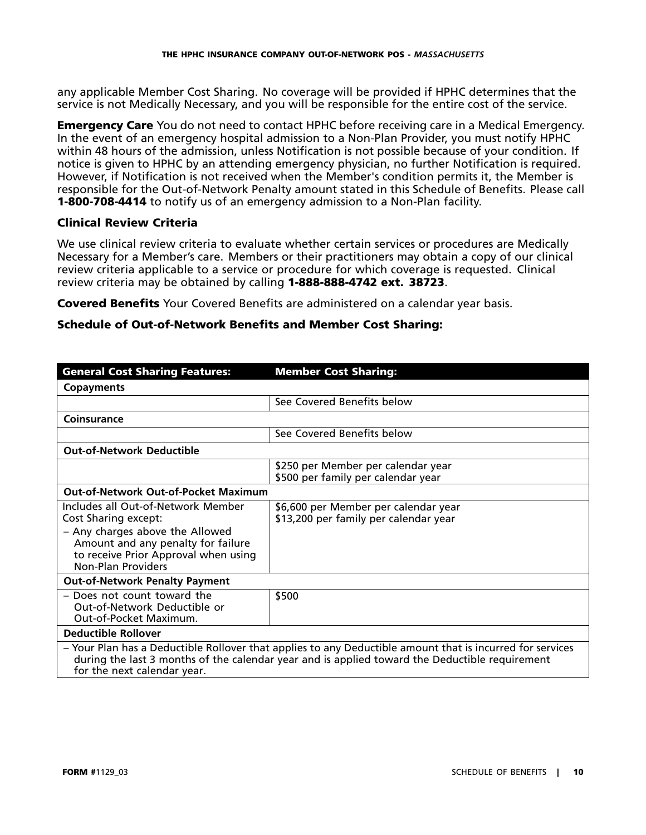any applicable Member Cost Sharing. No coverage will be provided if HPHC determines that the service is not Medically Necessary, and you will be responsible for the entire cost of the service.

**Emergency Care** You do not need to contact HPHC before receiving care in <sup>a</sup> Medical Emergency. In the event of an emergency hospital admission to <sup>a</sup> Non-Plan Provider, you must notify HPHC within 48 hours of the admission, unless Notification is not possible because of your condition. If notice is given to HPHC by an attending emergency physician, no further Notification is required. However, if Notification is not received when the Member's condition permits it, the Member is responsible for the Out-of-Network Penalty amount stated in this Schedule of Benefits. Please call **1-800-708-4414** to notify us of an emergency admission to <sup>a</sup> Non-Plan facility.

#### **Clinical Review Criteria**

We use clinical review criteria to evaluate whether certain services or procedures are Medically Necessary for <sup>a</sup> Member's care. Members or their practitioners may obtain <sup>a</sup> copy of our clinical review criteria applicable to <sup>a</sup> service or procedure for which coverage is requested. Clinical review criteria may be obtained by calling **1-888-888-4742 ext. 38723**.

**Covered Benefits** Your Covered Benefits are administered on <sup>a</sup> calendar year basis.

#### **Schedule of Out-of-Network Benefits and Member Cost Sharing:**

| <b>General Cost Sharing Features:</b>                                                                                                                                                                                                      | <b>Member Cost Sharing:</b>                                                   |  |
|--------------------------------------------------------------------------------------------------------------------------------------------------------------------------------------------------------------------------------------------|-------------------------------------------------------------------------------|--|
| <b>Copayments</b>                                                                                                                                                                                                                          |                                                                               |  |
|                                                                                                                                                                                                                                            | See Covered Benefits below                                                    |  |
| Coinsurance                                                                                                                                                                                                                                |                                                                               |  |
|                                                                                                                                                                                                                                            | See Covered Benefits below                                                    |  |
| <b>Out-of-Network Deductible</b>                                                                                                                                                                                                           |                                                                               |  |
|                                                                                                                                                                                                                                            | \$250 per Member per calendar year<br>\$500 per family per calendar year      |  |
| <b>Out-of-Network Out-of-Pocket Maximum</b>                                                                                                                                                                                                |                                                                               |  |
| Includes all Out-of-Network Member<br>Cost Sharing except:                                                                                                                                                                                 | \$6,600 per Member per calendar year<br>\$13,200 per family per calendar year |  |
| - Any charges above the Allowed<br>Amount and any penalty for failure<br>to receive Prior Approval when using<br>Non-Plan Providers                                                                                                        |                                                                               |  |
| <b>Out-of-Network Penalty Payment</b>                                                                                                                                                                                                      |                                                                               |  |
| - Does not count toward the<br>Out-of-Network Deductible or<br>Out-of-Pocket Maximum.                                                                                                                                                      | \$500                                                                         |  |
| <b>Deductible Rollover</b>                                                                                                                                                                                                                 |                                                                               |  |
| - Your Plan has a Deductible Rollover that applies to any Deductible amount that is incurred for services<br>during the last 3 months of the calendar year and is applied toward the Deductible requirement<br>for the next calendar year. |                                                                               |  |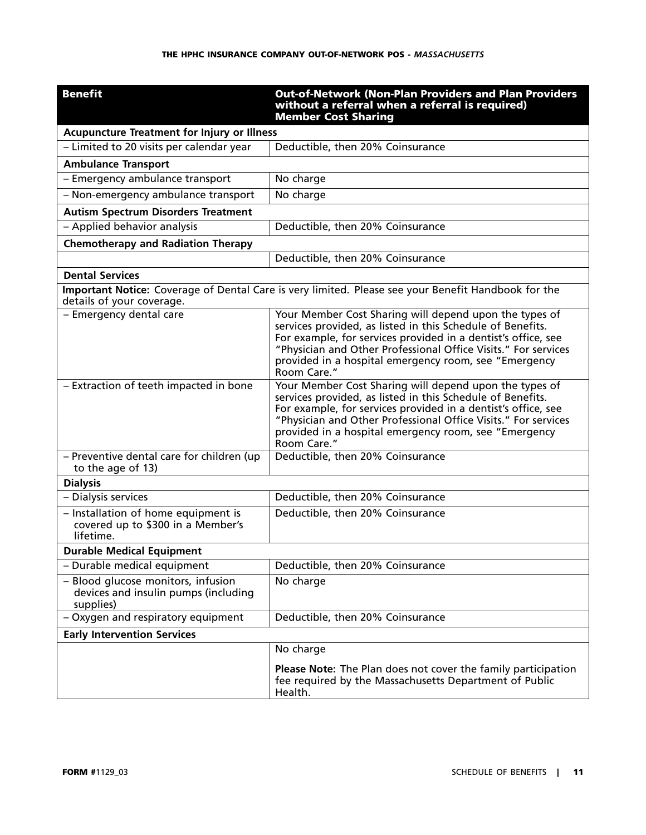#### **THE HPHC INSURANCE COMPANY OUT-OF-NETWORK POS -** *MASSACHUSETTS*

| <b>Benefit</b>                                                                          | <b>Out-of-Network (Non-Plan Providers and Plan Providers</b><br>without a referral when a referral is required)<br><b>Member Cost Sharing</b>                                                                                                                                                                                   |
|-----------------------------------------------------------------------------------------|---------------------------------------------------------------------------------------------------------------------------------------------------------------------------------------------------------------------------------------------------------------------------------------------------------------------------------|
| <b>Acupuncture Treatment for Injury or Illness</b>                                      |                                                                                                                                                                                                                                                                                                                                 |
| - Limited to 20 visits per calendar year                                                | Deductible, then 20% Coinsurance                                                                                                                                                                                                                                                                                                |
| <b>Ambulance Transport</b>                                                              |                                                                                                                                                                                                                                                                                                                                 |
| - Emergency ambulance transport                                                         | No charge                                                                                                                                                                                                                                                                                                                       |
| - Non-emergency ambulance transport                                                     | No charge                                                                                                                                                                                                                                                                                                                       |
| <b>Autism Spectrum Disorders Treatment</b>                                              |                                                                                                                                                                                                                                                                                                                                 |
| - Applied behavior analysis                                                             | Deductible, then 20% Coinsurance                                                                                                                                                                                                                                                                                                |
| <b>Chemotherapy and Radiation Therapy</b>                                               |                                                                                                                                                                                                                                                                                                                                 |
|                                                                                         | Deductible, then 20% Coinsurance                                                                                                                                                                                                                                                                                                |
| <b>Dental Services</b>                                                                  |                                                                                                                                                                                                                                                                                                                                 |
| details of your coverage.                                                               | Important Notice: Coverage of Dental Care is very limited. Please see your Benefit Handbook for the                                                                                                                                                                                                                             |
| - Emergency dental care                                                                 | Your Member Cost Sharing will depend upon the types of<br>services provided, as listed in this Schedule of Benefits.<br>For example, for services provided in a dentist's office, see<br>"Physician and Other Professional Office Visits." For services<br>provided in a hospital emergency room, see "Emergency<br>Room Care." |
| - Extraction of teeth impacted in bone                                                  | Your Member Cost Sharing will depend upon the types of<br>services provided, as listed in this Schedule of Benefits.<br>For example, for services provided in a dentist's office, see<br>"Physician and Other Professional Office Visits." For services<br>provided in a hospital emergency room, see "Emergency<br>Room Care." |
| - Preventive dental care for children (up<br>to the age of 13)                          | Deductible, then 20% Coinsurance                                                                                                                                                                                                                                                                                                |
| <b>Dialysis</b>                                                                         |                                                                                                                                                                                                                                                                                                                                 |
| - Dialysis services                                                                     | Deductible, then 20% Coinsurance                                                                                                                                                                                                                                                                                                |
| - Installation of home equipment is<br>covered up to \$300 in a Member's<br>lifetime.   | Deductible, then 20% Coinsurance                                                                                                                                                                                                                                                                                                |
| <b>Durable Medical Equipment</b>                                                        |                                                                                                                                                                                                                                                                                                                                 |
| - Durable medical equipment                                                             | Deductible, then 20% Coinsurance                                                                                                                                                                                                                                                                                                |
| - Blood glucose monitors, infusion<br>devices and insulin pumps (including<br>supplies) | No charge                                                                                                                                                                                                                                                                                                                       |
| - Oxygen and respiratory equipment                                                      | Deductible, then 20% Coinsurance                                                                                                                                                                                                                                                                                                |
| <b>Early Intervention Services</b>                                                      |                                                                                                                                                                                                                                                                                                                                 |
|                                                                                         | No charge<br><b>Please Note:</b> The Plan does not cover the family participation<br>fee required by the Massachusetts Department of Public<br>Health.                                                                                                                                                                          |
|                                                                                         |                                                                                                                                                                                                                                                                                                                                 |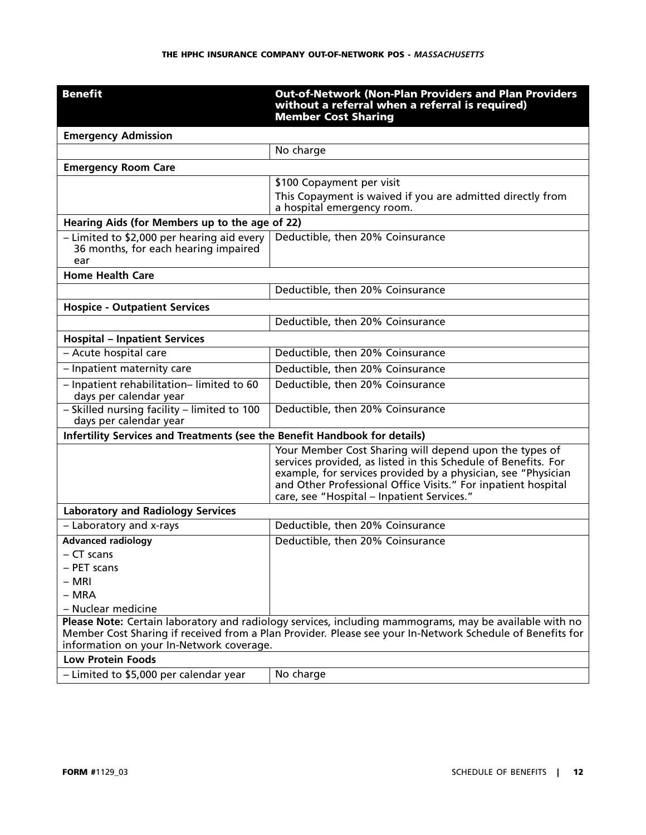#### **THE HPHC INSURANCE COMPANY OUT-OF-NETWORK POS -** *MASSACHUSETTS*

| <b>Benefit</b>                                                                                                                                                                                                                                                  | <b>Out-of-Network (Non-Plan Providers and Plan Providers</b><br>without a referral when a referral is required)<br><b>Member Cost Sharing</b>                                                                                                                                                            |  |
|-----------------------------------------------------------------------------------------------------------------------------------------------------------------------------------------------------------------------------------------------------------------|----------------------------------------------------------------------------------------------------------------------------------------------------------------------------------------------------------------------------------------------------------------------------------------------------------|--|
| <b>Emergency Admission</b>                                                                                                                                                                                                                                      |                                                                                                                                                                                                                                                                                                          |  |
|                                                                                                                                                                                                                                                                 | No charge                                                                                                                                                                                                                                                                                                |  |
| <b>Emergency Room Care</b>                                                                                                                                                                                                                                      |                                                                                                                                                                                                                                                                                                          |  |
|                                                                                                                                                                                                                                                                 | \$100 Copayment per visit                                                                                                                                                                                                                                                                                |  |
|                                                                                                                                                                                                                                                                 | This Copayment is waived if you are admitted directly from<br>a hospital emergency room.                                                                                                                                                                                                                 |  |
| Hearing Aids (for Members up to the age of 22)                                                                                                                                                                                                                  |                                                                                                                                                                                                                                                                                                          |  |
| - Limited to \$2,000 per hearing aid every<br>36 months, for each hearing impaired<br>ear                                                                                                                                                                       | Deductible, then 20% Coinsurance                                                                                                                                                                                                                                                                         |  |
| <b>Home Health Care</b>                                                                                                                                                                                                                                         |                                                                                                                                                                                                                                                                                                          |  |
|                                                                                                                                                                                                                                                                 | Deductible, then 20% Coinsurance                                                                                                                                                                                                                                                                         |  |
| <b>Hospice - Outpatient Services</b>                                                                                                                                                                                                                            |                                                                                                                                                                                                                                                                                                          |  |
|                                                                                                                                                                                                                                                                 | Deductible, then 20% Coinsurance                                                                                                                                                                                                                                                                         |  |
| <b>Hospital - Inpatient Services</b>                                                                                                                                                                                                                            |                                                                                                                                                                                                                                                                                                          |  |
| - Acute hospital care                                                                                                                                                                                                                                           | Deductible, then 20% Coinsurance                                                                                                                                                                                                                                                                         |  |
| - Inpatient maternity care                                                                                                                                                                                                                                      | Deductible, then 20% Coinsurance                                                                                                                                                                                                                                                                         |  |
| - Inpatient rehabilitation- limited to 60<br>days per calendar year                                                                                                                                                                                             | Deductible, then 20% Coinsurance                                                                                                                                                                                                                                                                         |  |
| - Skilled nursing facility - limited to 100<br>days per calendar year                                                                                                                                                                                           | Deductible, then 20% Coinsurance                                                                                                                                                                                                                                                                         |  |
| Infertility Services and Treatments (see the Benefit Handbook for details)                                                                                                                                                                                      |                                                                                                                                                                                                                                                                                                          |  |
|                                                                                                                                                                                                                                                                 | Your Member Cost Sharing will depend upon the types of<br>services provided, as listed in this Schedule of Benefits. For<br>example, for services provided by a physician, see "Physician<br>and Other Professional Office Visits." For inpatient hospital<br>care, see "Hospital - Inpatient Services." |  |
| <b>Laboratory and Radiology Services</b>                                                                                                                                                                                                                        |                                                                                                                                                                                                                                                                                                          |  |
| - Laboratory and x-rays                                                                                                                                                                                                                                         | Deductible, then 20% Coinsurance                                                                                                                                                                                                                                                                         |  |
| <b>Advanced radiology</b>                                                                                                                                                                                                                                       | Deductible, then 20% Coinsurance                                                                                                                                                                                                                                                                         |  |
| – CT scans                                                                                                                                                                                                                                                      |                                                                                                                                                                                                                                                                                                          |  |
| - PET scans                                                                                                                                                                                                                                                     |                                                                                                                                                                                                                                                                                                          |  |
| – MRI                                                                                                                                                                                                                                                           |                                                                                                                                                                                                                                                                                                          |  |
| – MRA<br>- Nuclear medicine                                                                                                                                                                                                                                     |                                                                                                                                                                                                                                                                                                          |  |
| Please Note: Certain laboratory and radiology services, including mammograms, may be available with no<br>Member Cost Sharing if received from a Plan Provider. Please see your In-Network Schedule of Benefits for<br>information on your In-Network coverage. |                                                                                                                                                                                                                                                                                                          |  |
| <b>Low Protein Foods</b>                                                                                                                                                                                                                                        |                                                                                                                                                                                                                                                                                                          |  |
| - Limited to \$5,000 per calendar year                                                                                                                                                                                                                          | No charge                                                                                                                                                                                                                                                                                                |  |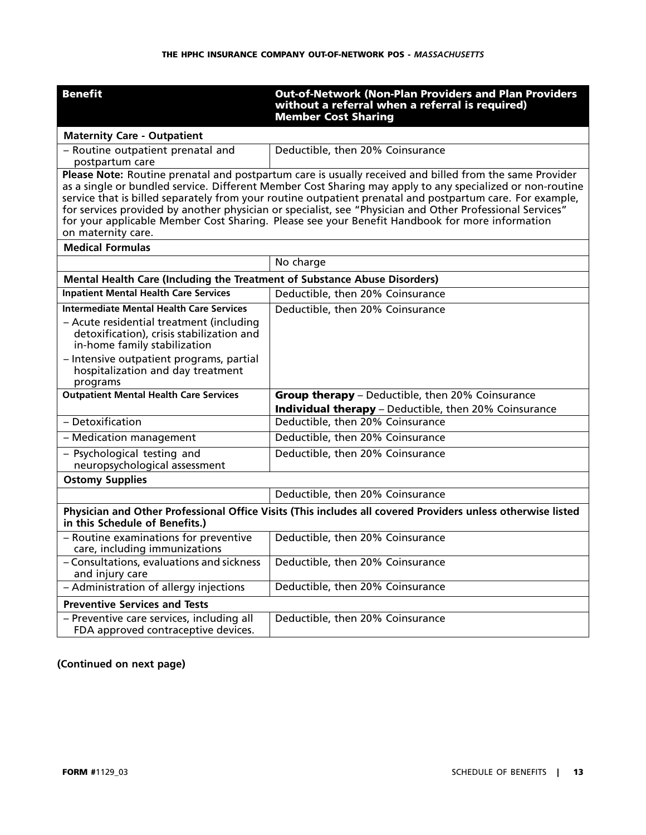| <b>Benefit</b>                                                                                                                                | <b>Out-of-Network (Non-Plan Providers and Plan Providers</b><br>without a referral when a referral is required)<br><b>Member Cost Sharing</b>                                                                                                                                                                                                                                                                                                                                                                                                    |  |
|-----------------------------------------------------------------------------------------------------------------------------------------------|--------------------------------------------------------------------------------------------------------------------------------------------------------------------------------------------------------------------------------------------------------------------------------------------------------------------------------------------------------------------------------------------------------------------------------------------------------------------------------------------------------------------------------------------------|--|
| <b>Maternity Care - Outpatient</b>                                                                                                            |                                                                                                                                                                                                                                                                                                                                                                                                                                                                                                                                                  |  |
| - Routine outpatient prenatal and<br>postpartum care                                                                                          | Deductible, then 20% Coinsurance                                                                                                                                                                                                                                                                                                                                                                                                                                                                                                                 |  |
| on maternity care.                                                                                                                            | Please Note: Routine prenatal and postpartum care is usually received and billed from the same Provider<br>as a single or bundled service. Different Member Cost Sharing may apply to any specialized or non-routine<br>service that is billed separately from your routine outpatient prenatal and postpartum care. For example,<br>for services provided by another physician or specialist, see "Physician and Other Professional Services"<br>for your applicable Member Cost Sharing. Please see your Benefit Handbook for more information |  |
| <b>Medical Formulas</b>                                                                                                                       |                                                                                                                                                                                                                                                                                                                                                                                                                                                                                                                                                  |  |
|                                                                                                                                               | No charge                                                                                                                                                                                                                                                                                                                                                                                                                                                                                                                                        |  |
| Mental Health Care (Including the Treatment of Substance Abuse Disorders)                                                                     |                                                                                                                                                                                                                                                                                                                                                                                                                                                                                                                                                  |  |
| <b>Inpatient Mental Health Care Services</b>                                                                                                  | Deductible, then 20% Coinsurance                                                                                                                                                                                                                                                                                                                                                                                                                                                                                                                 |  |
| <b>Intermediate Mental Health Care Services</b>                                                                                               | Deductible, then 20% Coinsurance                                                                                                                                                                                                                                                                                                                                                                                                                                                                                                                 |  |
| - Acute residential treatment (including<br>detoxification), crisis stabilization and<br>in-home family stabilization                         |                                                                                                                                                                                                                                                                                                                                                                                                                                                                                                                                                  |  |
| - Intensive outpatient programs, partial<br>hospitalization and day treatment<br>programs                                                     |                                                                                                                                                                                                                                                                                                                                                                                                                                                                                                                                                  |  |
| <b>Outpatient Mental Health Care Services</b>                                                                                                 | Group therapy - Deductible, then 20% Coinsurance                                                                                                                                                                                                                                                                                                                                                                                                                                                                                                 |  |
|                                                                                                                                               | Individual therapy - Deductible, then 20% Coinsurance                                                                                                                                                                                                                                                                                                                                                                                                                                                                                            |  |
| - Detoxification                                                                                                                              | Deductible, then 20% Coinsurance                                                                                                                                                                                                                                                                                                                                                                                                                                                                                                                 |  |
| - Medication management                                                                                                                       | Deductible, then 20% Coinsurance                                                                                                                                                                                                                                                                                                                                                                                                                                                                                                                 |  |
| - Psychological testing and<br>neuropsychological assessment                                                                                  | Deductible, then 20% Coinsurance                                                                                                                                                                                                                                                                                                                                                                                                                                                                                                                 |  |
| <b>Ostomy Supplies</b>                                                                                                                        |                                                                                                                                                                                                                                                                                                                                                                                                                                                                                                                                                  |  |
|                                                                                                                                               | Deductible, then 20% Coinsurance                                                                                                                                                                                                                                                                                                                                                                                                                                                                                                                 |  |
| Physician and Other Professional Office Visits (This includes all covered Providers unless otherwise listed<br>in this Schedule of Benefits.) |                                                                                                                                                                                                                                                                                                                                                                                                                                                                                                                                                  |  |
| - Routine examinations for preventive<br>care, including immunizations                                                                        | Deductible, then 20% Coinsurance                                                                                                                                                                                                                                                                                                                                                                                                                                                                                                                 |  |
| - Consultations, evaluations and sickness<br>and injury care                                                                                  | Deductible, then 20% Coinsurance                                                                                                                                                                                                                                                                                                                                                                                                                                                                                                                 |  |
| - Administration of allergy injections                                                                                                        | Deductible, then 20% Coinsurance                                                                                                                                                                                                                                                                                                                                                                                                                                                                                                                 |  |
| <b>Preventive Services and Tests</b>                                                                                                          |                                                                                                                                                                                                                                                                                                                                                                                                                                                                                                                                                  |  |
| - Preventive care services, including all<br>FDA approved contraceptive devices.                                                              | Deductible, then 20% Coinsurance                                                                                                                                                                                                                                                                                                                                                                                                                                                                                                                 |  |

# **(Continued on next page)**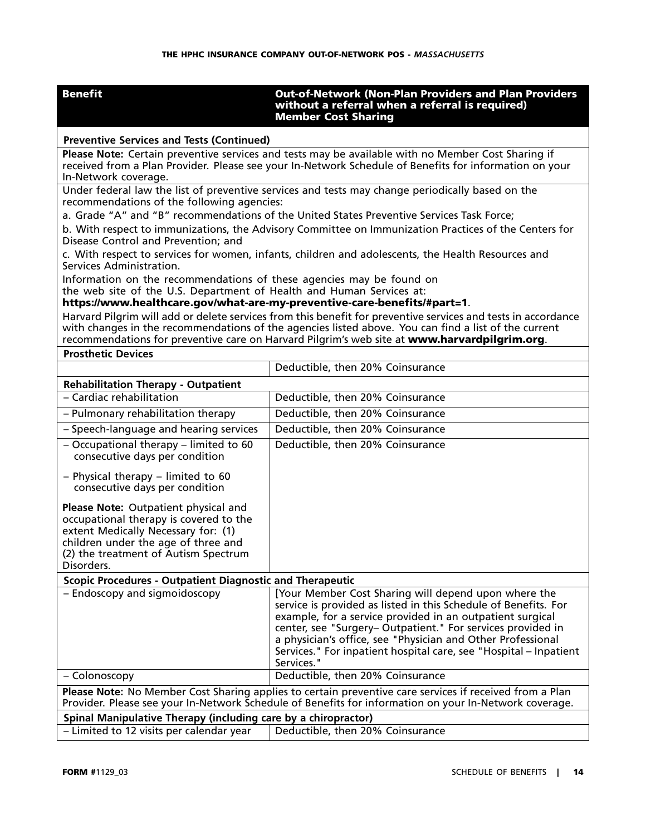| <b>Benefit</b>                                                                                                                                                                                                                                                                                                        | <b>Out-of-Network (Non-Plan Providers and Plan Providers</b><br>without a referral when a referral is required)<br><b>Member Cost Sharing</b>                                                                                                                                                                                                                                                         |  |  |
|-----------------------------------------------------------------------------------------------------------------------------------------------------------------------------------------------------------------------------------------------------------------------------------------------------------------------|-------------------------------------------------------------------------------------------------------------------------------------------------------------------------------------------------------------------------------------------------------------------------------------------------------------------------------------------------------------------------------------------------------|--|--|
|                                                                                                                                                                                                                                                                                                                       |                                                                                                                                                                                                                                                                                                                                                                                                       |  |  |
| <b>Preventive Services and Tests (Continued)</b>                                                                                                                                                                                                                                                                      |                                                                                                                                                                                                                                                                                                                                                                                                       |  |  |
| Please Note: Certain preventive services and tests may be available with no Member Cost Sharing if<br>received from a Plan Provider. Please see your In-Network Schedule of Benefits for information on your<br>In-Network coverage.                                                                                  |                                                                                                                                                                                                                                                                                                                                                                                                       |  |  |
|                                                                                                                                                                                                                                                                                                                       | Under federal law the list of preventive services and tests may change periodically based on the<br>recommendations of the following agencies:                                                                                                                                                                                                                                                        |  |  |
| a. Grade "A" and "B" recommendations of the United States Preventive Services Task Force;                                                                                                                                                                                                                             |                                                                                                                                                                                                                                                                                                                                                                                                       |  |  |
| b. With respect to immunizations, the Advisory Committee on Immunization Practices of the Centers for<br>Disease Control and Prevention; and                                                                                                                                                                          |                                                                                                                                                                                                                                                                                                                                                                                                       |  |  |
| Services Administration.                                                                                                                                                                                                                                                                                              | c. With respect to services for women, infants, children and adolescents, the Health Resources and                                                                                                                                                                                                                                                                                                    |  |  |
| Information on the recommendations of these agencies may be found on<br>the web site of the U.S. Department of Health and Human Services at:                                                                                                                                                                          |                                                                                                                                                                                                                                                                                                                                                                                                       |  |  |
| https://www.healthcare.gov/what-are-my-preventive-care-benefits/#part=1.                                                                                                                                                                                                                                              |                                                                                                                                                                                                                                                                                                                                                                                                       |  |  |
| Harvard Pilgrim will add or delete services from this benefit for preventive services and tests in accordance<br>with changes in the recommendations of the agencies listed above. You can find a list of the current<br>recommendations for preventive care on Harvard Pilgrim's web site at www.harvardpilgrim.org. |                                                                                                                                                                                                                                                                                                                                                                                                       |  |  |
| <b>Prosthetic Devices</b>                                                                                                                                                                                                                                                                                             |                                                                                                                                                                                                                                                                                                                                                                                                       |  |  |
|                                                                                                                                                                                                                                                                                                                       | Deductible, then 20% Coinsurance                                                                                                                                                                                                                                                                                                                                                                      |  |  |
| <b>Rehabilitation Therapy - Outpatient</b>                                                                                                                                                                                                                                                                            |                                                                                                                                                                                                                                                                                                                                                                                                       |  |  |
| - Cardiac rehabilitation                                                                                                                                                                                                                                                                                              | Deductible, then 20% Coinsurance                                                                                                                                                                                                                                                                                                                                                                      |  |  |
| - Pulmonary rehabilitation therapy                                                                                                                                                                                                                                                                                    | Deductible, then 20% Coinsurance                                                                                                                                                                                                                                                                                                                                                                      |  |  |
| - Speech-language and hearing services                                                                                                                                                                                                                                                                                | Deductible, then 20% Coinsurance                                                                                                                                                                                                                                                                                                                                                                      |  |  |
| - Occupational therapy - limited to 60<br>consecutive days per condition                                                                                                                                                                                                                                              | Deductible, then 20% Coinsurance                                                                                                                                                                                                                                                                                                                                                                      |  |  |
| - Physical therapy - limited to 60<br>consecutive days per condition                                                                                                                                                                                                                                                  |                                                                                                                                                                                                                                                                                                                                                                                                       |  |  |
| Please Note: Outpatient physical and<br>occupational therapy is covered to the<br>extent Medically Necessary for: (1)<br>children under the age of three and<br>(2) the treatment of Autism Spectrum<br>Disorders.                                                                                                    |                                                                                                                                                                                                                                                                                                                                                                                                       |  |  |
| <b>Scopic Procedures - Outpatient Diagnostic and Therapeutic</b>                                                                                                                                                                                                                                                      |                                                                                                                                                                                                                                                                                                                                                                                                       |  |  |
| - Endoscopy and sigmoidoscopy                                                                                                                                                                                                                                                                                         | [Your Member Cost Sharing will depend upon where the<br>service is provided as listed in this Schedule of Benefits. For<br>example, for a service provided in an outpatient surgical<br>center, see "Surgery- Outpatient." For services provided in<br>a physician's office, see "Physician and Other Professional<br>Services." For inpatient hospital care, see "Hospital - Inpatient<br>Services." |  |  |
| - Colonoscopy                                                                                                                                                                                                                                                                                                         | Deductible, then 20% Coinsurance                                                                                                                                                                                                                                                                                                                                                                      |  |  |
|                                                                                                                                                                                                                                                                                                                       | Please Note: No Member Cost Sharing applies to certain preventive care services if received from a Plan<br>Provider. Please see your In-Network Schedule of Benefits for information on your In-Network coverage.                                                                                                                                                                                     |  |  |
| Spinal Manipulative Therapy (including care by a chiropractor)                                                                                                                                                                                                                                                        |                                                                                                                                                                                                                                                                                                                                                                                                       |  |  |
| - Limited to 12 visits per calendar year                                                                                                                                                                                                                                                                              | Deductible, then 20% Coinsurance                                                                                                                                                                                                                                                                                                                                                                      |  |  |